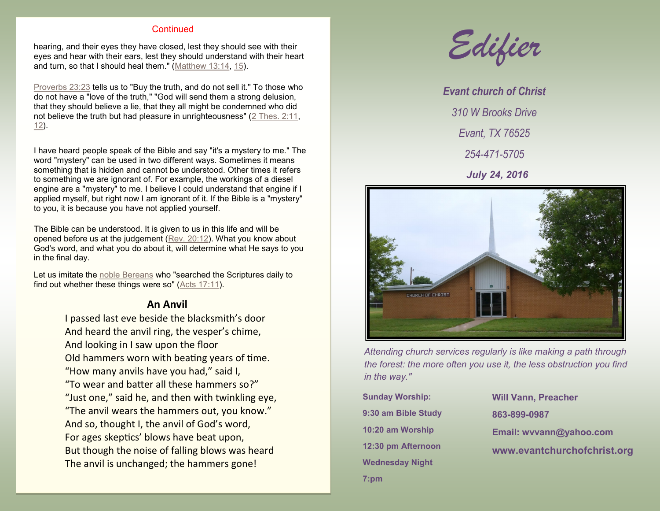#### **Continued**

hearing, and their eyes they have closed, lest they should see with their eyes and hear with their ears, lest they should understand with their heart and turn, so that I should heal them." ([Matthew 13:14,](http://biblia.com/bible/nkjv/Matt%2013.14) [15\)](http://biblia.com/bible/nkjv/Matthew%2013.15).

[Proverbs 23:23](http://biblia.com/bible/nkjv/Prov%2023.23) tells us to "Buy the truth, and do not sell it." To those who do not have a "love of the truth," "God will send them a strong delusion, that they should believe a lie, that they all might be condemned who did not believe the truth but had pleasure in unrighteousness" ([2 Thes. 2:11,](http://biblia.com/bible/nkjv/2%20Thess.%202.11) [12\).](http://biblia.com/bible/nkjv/2%20Thes%202.12)

I have heard people speak of the Bible and say "it's a mystery to me." The word "mystery" can be used in two different ways. Sometimes it means something that is hidden and cannot be understood. Other times it refers to something we are ignorant of. For example, the workings of a diesel engine are a "mystery" to me. I believe I could understand that engine if I applied myself, but right now I am ignorant of it. If the Bible is a "mystery" to you, it is because you have not applied yourself.

The Bible can be understood. It is given to us in this life and will be opened before us at the judgement ([Rev. 20:12\)](http://biblia.com/bible/nkjv/Rev.%2020.12). What you know about God's word, and what you do about it, will determine what He says to you in the final day.

Let us imitate the [noble Bereans](http://www.padfieldconsulting.com/church/noble-bereans.html) who "searched the Scriptures daily to find out whether these things were so" ([Acts 17:11\)](http://biblia.com/bible/nkjv/Acts%2017.11).

#### **An Anvil**

I passed last eve beside the blacksmith's door And heard the anvil ring, the vesper's chime, And looking in I saw upon the floor Old hammers worn with beating years of time. "How many anvils have you had," said I, "To wear and batter all these hammers so?" "Just one," said he, and then with twinkling eye, "The anvil wears the hammers out, you know." And so, thought I, the anvil of God's word, For ages skeptics' blows have beat upon, But though the noise of falling blows was heard The anvil is unchanged; the hammers gone!



*Evant church of Christ 310 W Brooks Drive Evant, TX 76525 254-471-5705 July 24, 2016*



*Attending church services regularly is like making a path through the forest: the more often you use it, the less obstruction you find in the way."*

**Sunday Worship: 9:30 am Bible Study 10:20 am Worship 12:30 pm Afternoon Wednesday Night 7:pm**

**Will Vann, Preacher 863-899-0987 Email: wvvann@yahoo.com www.evantchurchofchrist.org**